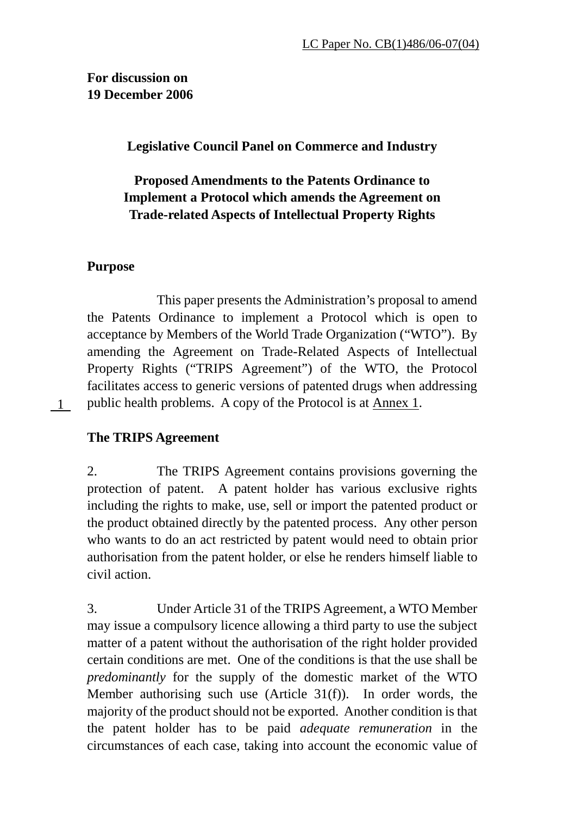**For discussion on 19 December 2006** 

**Legislative Council Panel on Commerce and Industry** 

# **Proposed Amendments to the Patents Ordinance to Implement a Protocol which amends the Agreement on Trade-related Aspects of Intellectual Property Rights**

## **Purpose**

1

 This paper presents the Administration's proposal to amend the Patents Ordinance to implement a Protocol which is open to acceptance by Members of the World Trade Organization ("WTO"). By amending the Agreement on Trade-Related Aspects of Intellectual Property Rights ("TRIPS Agreement") of the WTO, the Protocol facilitates access to generic versions of patented drugs when addressing public health problems. A copy of the Protocol is at Annex 1.

## **The TRIPS Agreement**

2. The TRIPS Agreement contains provisions governing the protection of patent. A patent holder has various exclusive rights including the rights to make, use, sell or import the patented product or the product obtained directly by the patented process. Any other person who wants to do an act restricted by patent would need to obtain prior authorisation from the patent holder, or else he renders himself liable to civil action.

3. Under Article 31 of the TRIPS Agreement, a WTO Member may issue a compulsory licence allowing a third party to use the subject matter of a patent without the authorisation of the right holder provided certain conditions are met. One of the conditions is that the use shall be *predominantly* for the supply of the domestic market of the WTO Member authorising such use (Article 31(f)). In order words, the majority of the product should not be exported. Another condition is that the patent holder has to be paid *adequate remuneration* in the circumstances of each case, taking into account the economic value of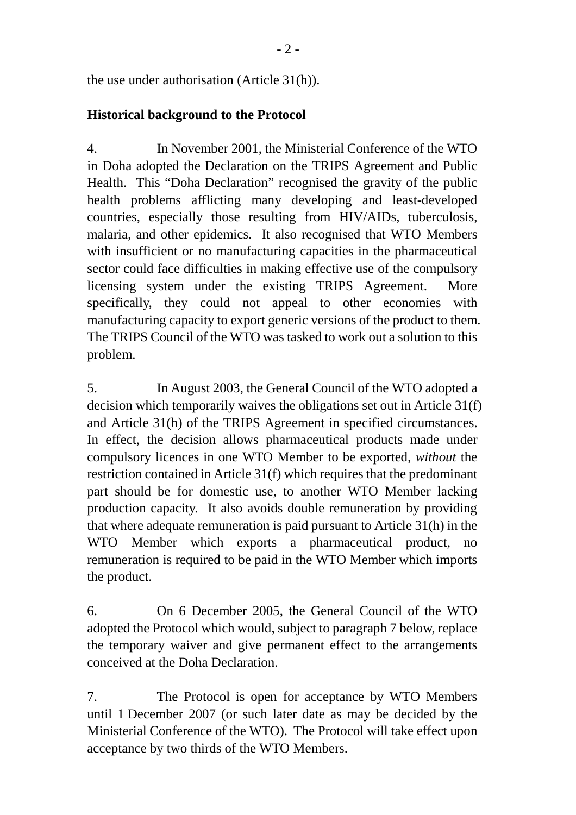the use under authorisation (Article 31(h)).

## **Historical background to the Protocol**

4. In November 2001, the Ministerial Conference of the WTO in Doha adopted the Declaration on the TRIPS Agreement and Public Health. This "Doha Declaration" recognised the gravity of the public health problems afflicting many developing and least-developed countries, especially those resulting from HIV/AIDs, tuberculosis, malaria, and other epidemics. It also recognised that WTO Members with insufficient or no manufacturing capacities in the pharmaceutical sector could face difficulties in making effective use of the compulsory licensing system under the existing TRIPS Agreement. More specifically, they could not appeal to other economies with manufacturing capacity to export generic versions of the product to them. The TRIPS Council of the WTO was tasked to work out a solution to this problem.

5. In August 2003, the General Council of the WTO adopted a decision which temporarily waives the obligations set out in Article 31(f) and Article 31(h) of the TRIPS Agreement in specified circumstances. In effect, the decision allows pharmaceutical products made under compulsory licences in one WTO Member to be exported, *without* the restriction contained in Article 31(f) which requires that the predominant part should be for domestic use, to another WTO Member lacking production capacity. It also avoids double remuneration by providing that where adequate remuneration is paid pursuant to Article 31(h) in the WTO Member which exports a pharmaceutical product, no remuneration is required to be paid in the WTO Member which imports the product.

6. On 6 December 2005, the General Council of the WTO adopted the Protocol which would, subject to paragraph 7 below, replace the temporary waiver and give permanent effect to the arrangements conceived at the Doha Declaration.

7. The Protocol is open for acceptance by WTO Members until 1 December 2007 (or such later date as may be decided by the Ministerial Conference of the WTO). The Protocol will take effect upon acceptance by two thirds of the WTO Members.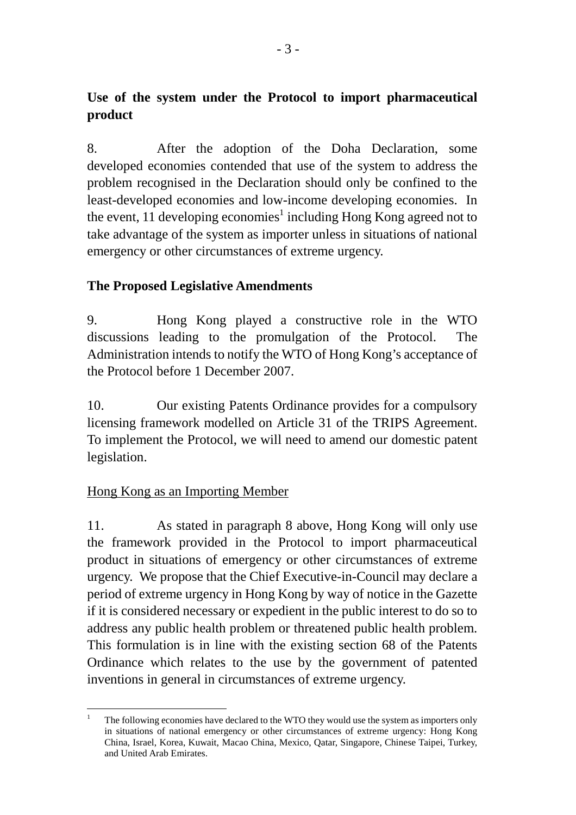# **Use of the system under the Protocol to import pharmaceutical product**

8. After the adoption of the Doha Declaration, some developed economies contended that use of the system to address the problem recognised in the Declaration should only be confined to the least-developed economies and low-income developing economies. In the event, 11 developing economies<sup>1</sup> including Hong Kong agreed not to take advantage of the system as importer unless in situations of national emergency or other circumstances of extreme urgency.

## **The Proposed Legislative Amendments**

9. Hong Kong played a constructive role in the WTO discussions leading to the promulgation of the Protocol. The Administration intends to notify the WTO of Hong Kong's acceptance of the Protocol before 1 December 2007.

10. Our existing Patents Ordinance provides for a compulsory licensing framework modelled on Article 31 of the TRIPS Agreement. To implement the Protocol, we will need to amend our domestic patent legislation.

## Hong Kong as an Importing Member

 $\overline{a}$ 

11. As stated in paragraph 8 above, Hong Kong will only use the framework provided in the Protocol to import pharmaceutical product in situations of emergency or other circumstances of extreme urgency. We propose that the Chief Executive-in-Council may declare a period of extreme urgency in Hong Kong by way of notice in the Gazette if it is considered necessary or expedient in the public interest to do so to address any public health problem or threatened public health problem. This formulation is in line with the existing section 68 of the Patents Ordinance which relates to the use by the government of patented inventions in general in circumstances of extreme urgency.

<sup>1</sup> The following economies have declared to the WTO they would use the system as importers only in situations of national emergency or other circumstances of extreme urgency: Hong Kong China, Israel, Korea, Kuwait, Macao China, Mexico, Qatar, Singapore, Chinese Taipei, Turkey, and United Arab Emirates.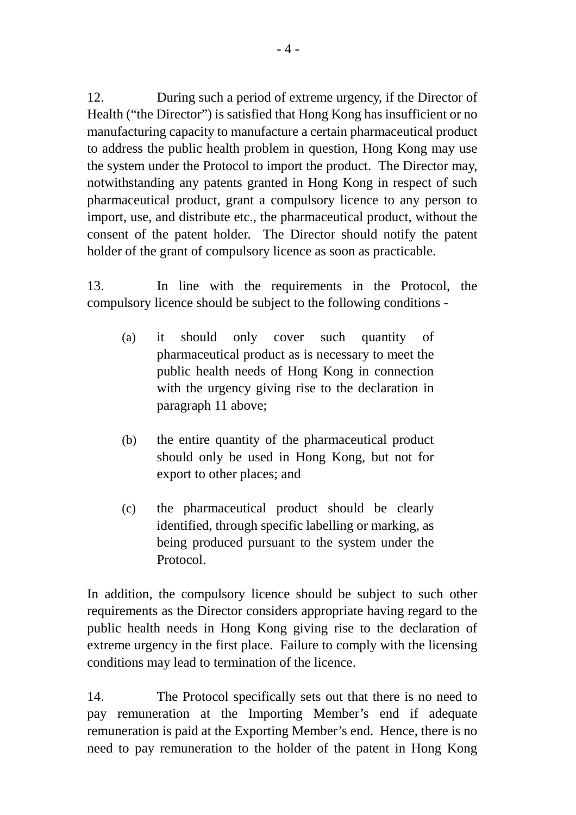12. During such a period of extreme urgency, if the Director of Health ("the Director") is satisfied that Hong Kong has insufficient or no manufacturing capacity to manufacture a certain pharmaceutical product to address the public health problem in question, Hong Kong may use the system under the Protocol to import the product. The Director may, notwithstanding any patents granted in Hong Kong in respect of such pharmaceutical product, grant a compulsory licence to any person to import, use, and distribute etc., the pharmaceutical product, without the consent of the patent holder. The Director should notify the patent holder of the grant of compulsory licence as soon as practicable.

13. In line with the requirements in the Protocol, the compulsory licence should be subject to the following conditions -

- (a) it should only cover such quantity of pharmaceutical product as is necessary to meet the public health needs of Hong Kong in connection with the urgency giving rise to the declaration in paragraph 11 above;
- (b) the entire quantity of the pharmaceutical product should only be used in Hong Kong, but not for export to other places; and
- (c) the pharmaceutical product should be clearly identified, through specific labelling or marking, as being produced pursuant to the system under the Protocol.

In addition, the compulsory licence should be subject to such other requirements as the Director considers appropriate having regard to the public health needs in Hong Kong giving rise to the declaration of extreme urgency in the first place. Failure to comply with the licensing conditions may lead to termination of the licence.

14. The Protocol specifically sets out that there is no need to pay remuneration at the Importing Member's end if adequate remuneration is paid at the Exporting Member's end. Hence, there is no need to pay remuneration to the holder of the patent in Hong Kong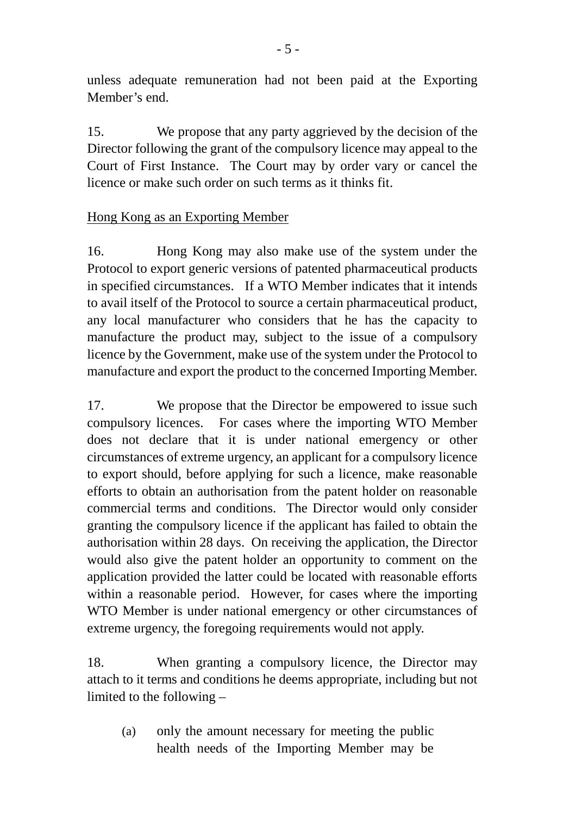unless adequate remuneration had not been paid at the Exporting Member's end.

15. We propose that any party aggrieved by the decision of the Director following the grant of the compulsory licence may appeal to the Court of First Instance. The Court may by order vary or cancel the licence or make such order on such terms as it thinks fit.

# Hong Kong as an Exporting Member

16. Hong Kong may also make use of the system under the Protocol to export generic versions of patented pharmaceutical products in specified circumstances. If a WTO Member indicates that it intends to avail itself of the Protocol to source a certain pharmaceutical product, any local manufacturer who considers that he has the capacity to manufacture the product may, subject to the issue of a compulsory licence by the Government, make use of the system under the Protocol to manufacture and export the product to the concerned Importing Member.

17. We propose that the Director be empowered to issue such compulsory licences. For cases where the importing WTO Member does not declare that it is under national emergency or other circumstances of extreme urgency, an applicant for a compulsory licence to export should, before applying for such a licence, make reasonable efforts to obtain an authorisation from the patent holder on reasonable commercial terms and conditions. The Director would only consider granting the compulsory licence if the applicant has failed to obtain the authorisation within 28 days. On receiving the application, the Director would also give the patent holder an opportunity to comment on the application provided the latter could be located with reasonable efforts within a reasonable period. However, for cases where the importing WTO Member is under national emergency or other circumstances of extreme urgency, the foregoing requirements would not apply.

18. When granting a compulsory licence, the Director may attach to it terms and conditions he deems appropriate, including but not limited to the following –

(a) only the amount necessary for meeting the public health needs of the Importing Member may be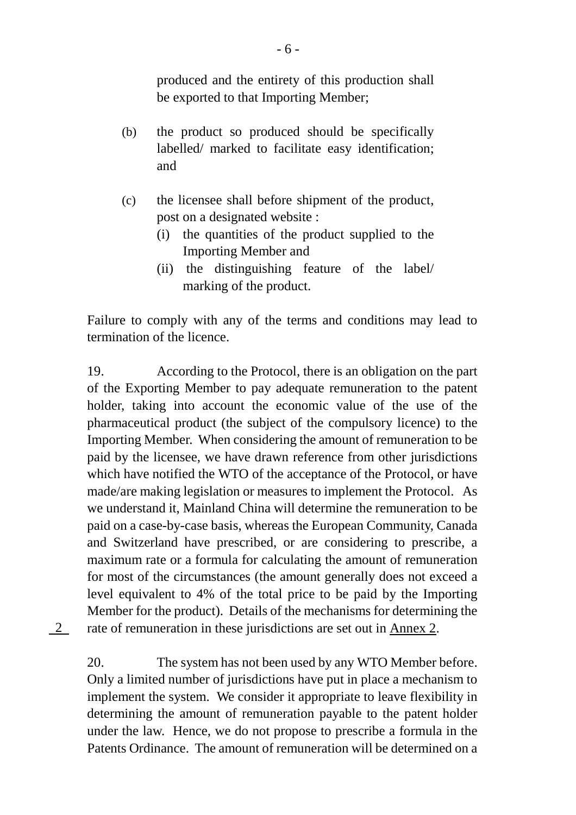produced and the entirety of this production shall be exported to that Importing Member;

- (b) the product so produced should be specifically labelled/ marked to facilitate easy identification; and
- (c) the licensee shall before shipment of the product, post on a designated website :
	- (i) the quantities of the product supplied to the Importing Member and
	- (ii) the distinguishing feature of the label/ marking of the product.

Failure to comply with any of the terms and conditions may lead to termination of the licence.

19. According to the Protocol, there is an obligation on the part of the Exporting Member to pay adequate remuneration to the patent holder, taking into account the economic value of the use of the pharmaceutical product (the subject of the compulsory licence) to the Importing Member. When considering the amount of remuneration to be paid by the licensee, we have drawn reference from other jurisdictions which have notified the WTO of the acceptance of the Protocol, or have made/are making legislation or measures to implement the Protocol. As we understand it, Mainland China will determine the remuneration to be paid on a case-by-case basis, whereas the European Community, Canada and Switzerland have prescribed, or are considering to prescribe, a maximum rate or a formula for calculating the amount of remuneration for most of the circumstances (the amount generally does not exceed a level equivalent to 4% of the total price to be paid by the Importing Member for the product). Details of the mechanisms for determining the rate of remuneration in these jurisdictions are set out in Annex 2.

2

20. The system has not been used by any WTO Member before. Only a limited number of jurisdictions have put in place a mechanism to implement the system. We consider it appropriate to leave flexibility in determining the amount of remuneration payable to the patent holder under the law. Hence, we do not propose to prescribe a formula in the Patents Ordinance. The amount of remuneration will be determined on a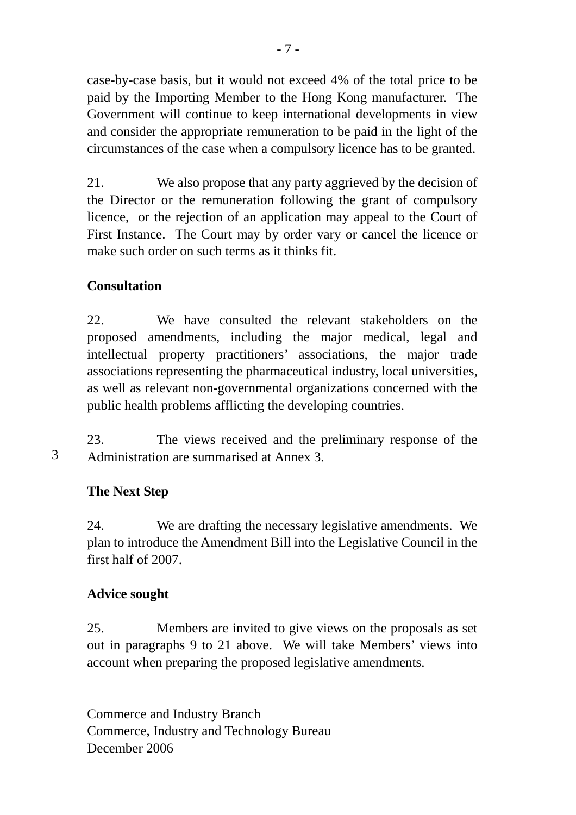case-by-case basis, but it would not exceed 4% of the total price to be paid by the Importing Member to the Hong Kong manufacturer. The Government will continue to keep international developments in view and consider the appropriate remuneration to be paid in the light of the circumstances of the case when a compulsory licence has to be granted.

21. We also propose that any party aggrieved by the decision of the Director or the remuneration following the grant of compulsory licence, or the rejection of an application may appeal to the Court of First Instance. The Court may by order vary or cancel the licence or make such order on such terms as it thinks fit.

# **Consultation**

22. We have consulted the relevant stakeholders on the proposed amendments, including the major medical, legal and intellectual property practitioners' associations, the major trade associations representing the pharmaceutical industry, local universities, as well as relevant non-governmental organizations concerned with the public health problems afflicting the developing countries.

23. The views received and the preliminary response of the Administration are summarised at Annex 3. 3

## **The Next Step**

24. We are drafting the necessary legislative amendments. We plan to introduce the Amendment Bill into the Legislative Council in the first half of 2007.

## **Advice sought**

25. Members are invited to give views on the proposals as set out in paragraphs 9 to 21 above. We will take Members' views into account when preparing the proposed legislative amendments.

Commerce and Industry Branch Commerce, Industry and Technology Bureau December 2006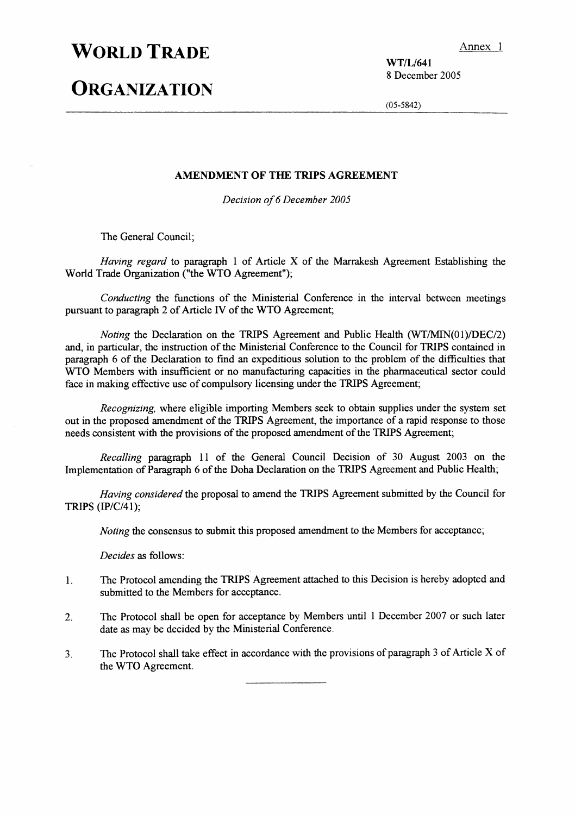# **WORLD TRADE**

# **ORGANIZATION**

WT/L/641 8 December 2005

 $(05-5842)$ 

#### AMENDMENT OF THE TRIPS AGREEMENT

Decision of 6 December 2005

The General Council;

Having regard to paragraph 1 of Article X of the Marrakesh Agreement Establishing the World Trade Organization ("the WTO Agreement");

Conducting the functions of the Ministerial Conference in the interval between meetings pursuant to paragraph 2 of Article IV of the WTO Agreement;

*Noting* the Declaration on the TRIPS Agreement and Public Health  $(WT/MIN(01)/DEC/2)$ and, in particular, the instruction of the Ministerial Conference to the Council for TRIPS contained in paragraph 6 of the Declaration to find an expeditious solution to the problem of the difficulties that WTO Members with insufficient or no manufacturing capacities in the pharmaceutical sector could face in making effective use of compulsory licensing under the TRIPS Agreement;

*Recognizing*, where eligible importing Members seek to obtain supplies under the system set out in the proposed amendment of the TRIPS Agreement, the importance of a rapid response to those needs consistent with the provisions of the proposed amendment of the TRIPS Agreement;

Recalling paragraph 11 of the General Council Decision of 30 August 2003 on the Implementation of Paragraph 6 of the Doha Declaration on the TRIPS Agreement and Public Health;

Having considered the proposal to amend the TRIPS Agreement submitted by the Council for TRIPS (IP/C/41);

Noting the consensus to submit this proposed amendment to the Members for acceptance;

Decides as follows:

- The Protocol amending the TRIPS Agreement attached to this Decision is hereby adopted and  $\mathbf{1}$ . submitted to the Members for acceptance.
- The Protocol shall be open for acceptance by Members until 1 December 2007 or such later  $2.$ date as may be decided by the Ministerial Conference.
- The Protocol shall take effect in accordance with the provisions of paragraph 3 of Article X of  $3<sub>1</sub>$ the WTO Agreement.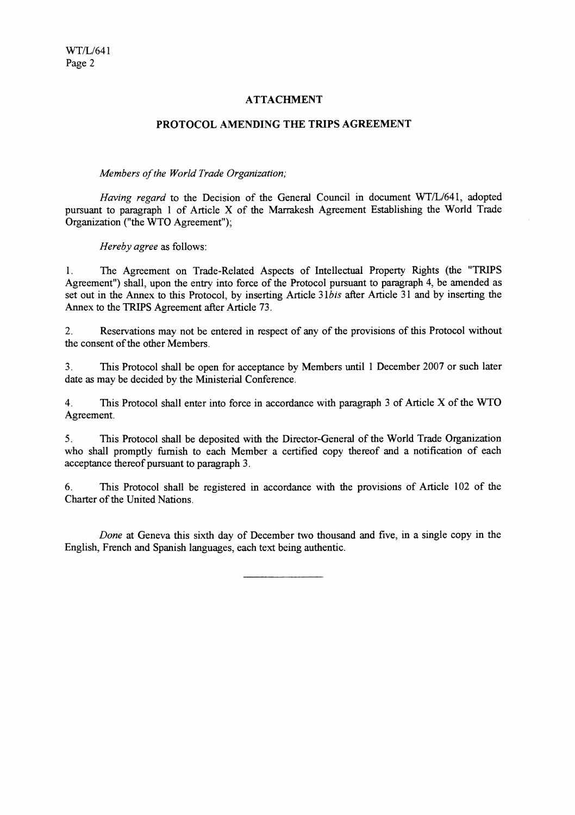### **ATTACHMENT**

#### PROTOCOL AMENDING THE TRIPS AGREEMENT

#### Members of the World Trade Organization;

Having regard to the Decision of the General Council in document WT/L/641, adopted pursuant to paragraph 1 of Article X of the Marrakesh Agreement Establishing the World Trade Organization ("the WTO Agreement");

Hereby agree as follows:

The Agreement on Trade-Related Aspects of Intellectual Property Rights (the "TRIPS  $1.$ Agreement") shall, upon the entry into force of the Protocol pursuant to paragraph 4, be amended as set out in the Annex to this Protocol, by inserting Article 31bis after Article 31 and by inserting the Annex to the TRIPS Agreement after Article 73.

 $2.$ Reservations may not be entered in respect of any of the provisions of this Protocol without the consent of the other Members

This Protocol shall be open for acceptance by Members until 1 December 2007 or such later  $3<sub>1</sub>$ date as may be decided by the Ministerial Conference.

 $\overline{4}$ . This Protocol shall enter into force in accordance with paragraph 3 of Article X of the WTO Agreement.

 $5<sub>1</sub>$ This Protocol shall be deposited with the Director-General of the World Trade Organization who shall promptly furnish to each Member a certified copy thereof and a notification of each acceptance thereof pursuant to paragraph 3.

This Protocol shall be registered in accordance with the provisions of Article 102 of the 6. Charter of the United Nations.

Done at Geneva this sixth day of December two thousand and five, in a single copy in the English, French and Spanish languages, each text being authentic.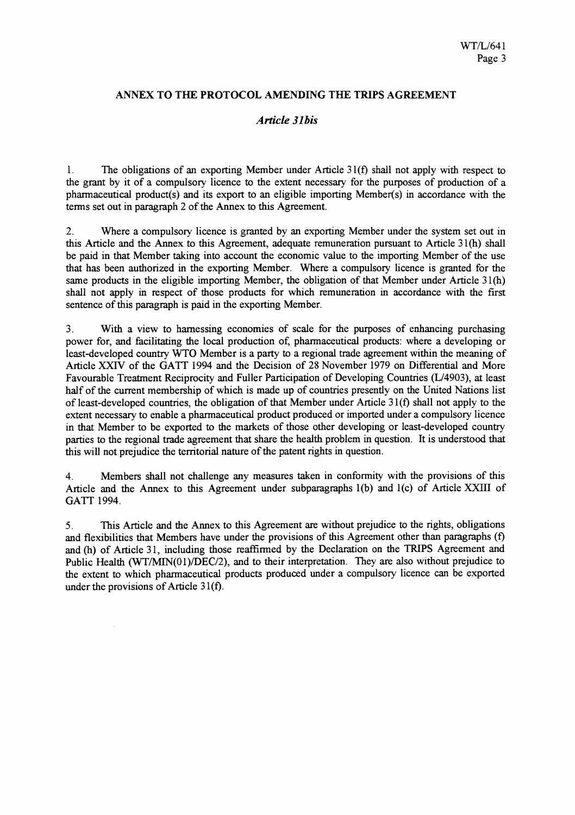### ANNEX TO THE PROTOCOL AMENDING THE TRIPS AGREEMENT

### Article 31 his

 $1<sub>1</sub>$ The obligations of an exporting Member under Article  $31(f)$  shall not apply with respect to the grant by it of a compulsory licence to the extent necessary for the purposes of production of a pharmaceutical product(s) and its export to an eligible importing Member(s) in accordance with the terms set out in paragraph 2 of the Annex to this Agreement.

Where a compulsory licence is granted by an exporting Member under the system set out in  $2.$ this Article and the Annex to this Agreement, adequate remuneration pursuant to Article 31(h) shall be paid in that Member taking into account the economic value to the importing Member of the use that has been authorized in the exporting Member. Where a compulsory licence is granted for the same products in the eligible importing Member, the obligation of that Member under Article 31(h) shall not apply in respect of those products for which remuneration in accordance with the first sentence of this paragraph is paid in the exporting Member.

With a view to harnessing economies of scale for the purposes of enhancing purchasing  $3<sub>1</sub>$ power for, and facilitating the local production of, pharmaceutical products: where a developing or least-developed country WTO Member is a party to a regional trade agreement within the meaning of Article XXIV of the GATT 1994 and the Decision of 28 November 1979 on Differential and More Favourable Treatment Reciprocity and Fuller Participation of Developing Countries (L/4903), at least half of the current membership of which is made up of countries presently on the United Nations list of least-developed countries, the obligation of that Member under Article 31(f) shall not apply to the extent necessary to enable a pharmaceutical product produced or imported under a compulsory licence in that Member to be exported to the markets of those other developing or least-developed country parties to the regional trade agreement that share the health problem in question. It is understood that this will not prejudice the territorial nature of the patent rights in question.

Members shall not challenge any measures taken in conformity with the provisions of this  $4<sub>1</sub>$ Article and the Annex to this Agreement under subparagraphs 1(b) and 1(c) of Article XXIII of GATT 1994.

This Article and the Annex to this Agreement are without prejudice to the rights, obligations  $5<sub>1</sub>$ and flexibilities that Members have under the provisions of this Agreement other than paragraphs (f) and (h) of Article 31, including those reaffirmed by the Declaration on the TRIPS Agreement and Public Health (WT/MIN(01)/DEC/2), and to their interpretation. They are also without prejudice to the extent to which pharmaceutical products produced under a compulsory licence can be exported under the provisions of Article 31(f).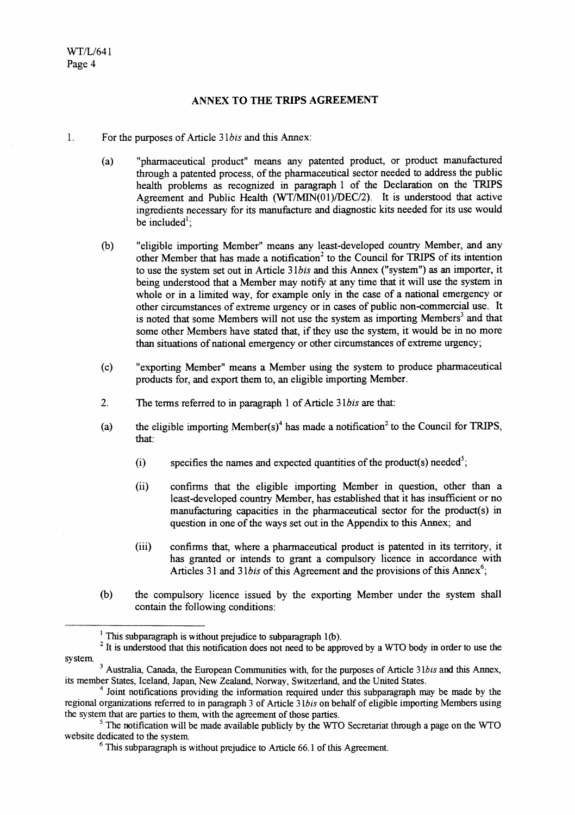#### ANNEX TO THE TRIPS AGREEMENT

- $\mathbf{1}$ . For the purposes of Article 31bis and this Annex:
	- "pharmaceutical product" means any patented product, or product manufactured  $(a)$ through a patented process, of the pharmaceutical sector needed to address the public health problems as recognized in paragraph 1 of the Declaration on the TRIPS Agreement and Public Health (WT/MIN(01)/DEC/2). It is understood that active ingredients necessary for its manufacture and diagnostic kits needed for its use would be included<sup> $l$ </sup>;
	- "eligible importing Member" means any least-developed country Member, and any  $(b)$ other Member that has made a notification<sup>2</sup> to the Council for TRIPS of its intention to use the system set out in Article 31bis and this Annex ("system") as an importer, it being understood that a Member may notify at any time that it will use the system in whole or in a limited way, for example only in the case of a national emergency or other circumstances of extreme urgency or in cases of public non-commercial use. It is noted that some Members will not use the system as importing Members<sup>3</sup> and that some other Members have stated that, if they use the system, it would be in no more than situations of national emergency or other circumstances of extreme urgency;
	- "exporting Member" means a Member using the system to produce pharmaceutical  $(c)$ products for, and export them to, an eligible importing Member.
	- $2.$ The terms referred to in paragraph 1 of Article 31bis are that:
	- the eligible importing Member(s)<sup>4</sup> has made a notification<sup>2</sup> to the Council for TRIPS,  $(a)$ that:
		- specifies the names and expected quantities of the product(s) needed<sup>5</sup>;  $(i)$
		- confirms that the eligible importing Member in question, other than a  $(ii)$ least-developed country Member, has established that it has insufficient or no manufacturing capacities in the pharmaceutical sector for the product(s) in question in one of the ways set out in the Appendix to this Annex; and
		- confirms that, where a pharmaceutical product is patented in its territory, it  $(iii)$ has granted or intends to grant a compulsory licence in accordance with Articles 31 and 31bis of this Agreement and the provisions of this Annex<sup>6</sup>:
	- $(b)$ the compulsory licence issued by the exporting Member under the system shall contain the following conditions:

<sup>&</sup>lt;sup>1</sup> This subparagraph is without prejudice to subparagraph  $1(b)$ .

<sup>&</sup>lt;sup>2</sup> It is understood that this notification does not need to be approved by a WTO body in order to use the system.

<sup>&</sup>lt;sup>3</sup> Australia, Canada, the European Communities with, for the purposes of Article 31bis and this Annex, its member States, Iceland, Japan, New Zealand, Norway, Switzerland, and the United States.

<sup>&</sup>lt;sup>4</sup> Joint notifications providing the information required under this subparagraph may be made by the regional organizations referred to in paragraph 3 of Article 31bis on behalf of eligible importing Members using the system that are parties to them, with the agreement of those parties.

 $\frac{1}{2}$ . The notification will be made available publicly by the WTO Secretariat through a page on the WTO website dedicated to the system.

 $6$  This subparagraph is without prejudice to Article 66.1 of this Agreement.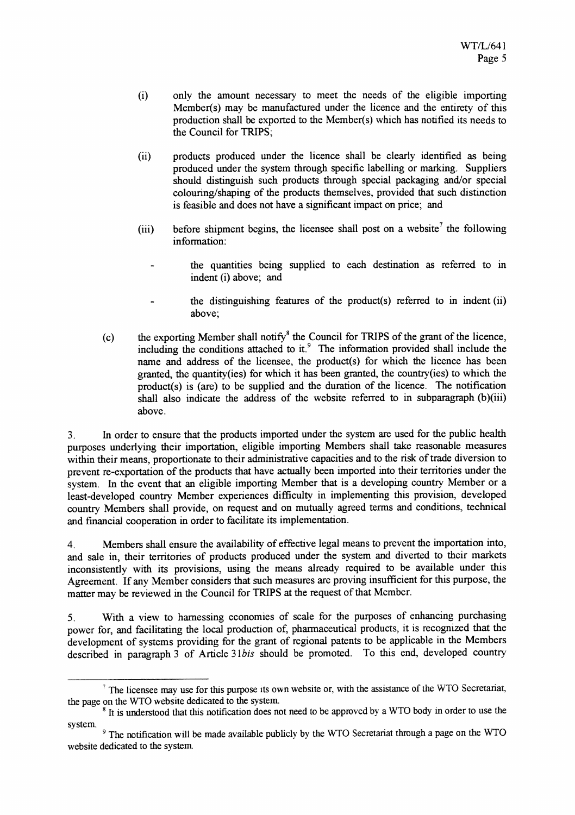- only the amount necessary to meet the needs of the eligible importing  $(i)$ Member(s) may be manufactured under the licence and the entirety of this production shall be exported to the Member(s) which has notified its needs to the Council for TRIPS;
- $(ii)$ products produced under the licence shall be clearly identified as being produced under the system through specific labelling or marking. Suppliers should distinguish such products through special packaging and/or special colouring/shaping of the products themselves, provided that such distinction is feasible and does not have a significant impact on price; and
- before shipment begins, the licensee shall post on a website<sup>7</sup> the following  $(iii)$ information:
	- the quantities being supplied to each destination as referred to in indent (i) above; and
	- the distinguishing features of the product(s) referred to in indent (ii) above:
- the exporting Member shall notify<sup>8</sup> the Council for TRIPS of the grant of the licence, including the conditions attached to it.<sup>9</sup> The information provided shall include the  $(c)$ name and address of the licensee, the product(s) for which the licence has been granted, the quantity(ies) for which it has been granted, the country(ies) to which the product(s) is (are) to be supplied and the duration of the licence. The notification shall also indicate the address of the website referred to in subparagraph (b)(iii) above.

In order to ensure that the products imported under the system are used for the public health  $3<sub>1</sub>$ purposes underlying their importation, eligible importing Members shall take reasonable measures within their means, proportionate to their administrative capacities and to the risk of trade diversion to prevent re-exportation of the products that have actually been imported into their territories under the system. In the event that an eligible importing Member that is a developing country Member or a least-developed country Member experiences difficulty in implementing this provision, developed country Members shall provide, on request and on mutually agreed terms and conditions, technical and financial cooperation in order to facilitate its implementation.

Members shall ensure the availability of effective legal means to prevent the importation into, 4. and sale in, their territories of products produced under the system and diverted to their markets inconsistently with its provisions, using the means already required to be available under this Agreement. If any Member considers that such measures are proving insufficient for this purpose, the matter may be reviewed in the Council for TRIPS at the request of that Member.

With a view to harnessing economies of scale for the purposes of enhancing purchasing  $5<sub>1</sub>$ power for, and facilitating the local production of, pharmaceutical products, it is recognized that the development of systems providing for the grant of regional patents to be applicable in the Members described in paragraph 3 of Article 31bis should be promoted. To this end, developed country

<sup>&</sup>lt;sup>7</sup> The licensee may use for this purpose its own website or, with the assistance of the WTO Secretariat, the page on the WTO website dedicated to the system.

<sup>&</sup>lt;sup>8</sup> It is understood that this notification does not need to be approved by a WTO body in order to use the system.

<sup>&</sup>lt;sup>9</sup> The notification will be made available publicly by the WTO Secretariat through a page on the WTO website dedicated to the system.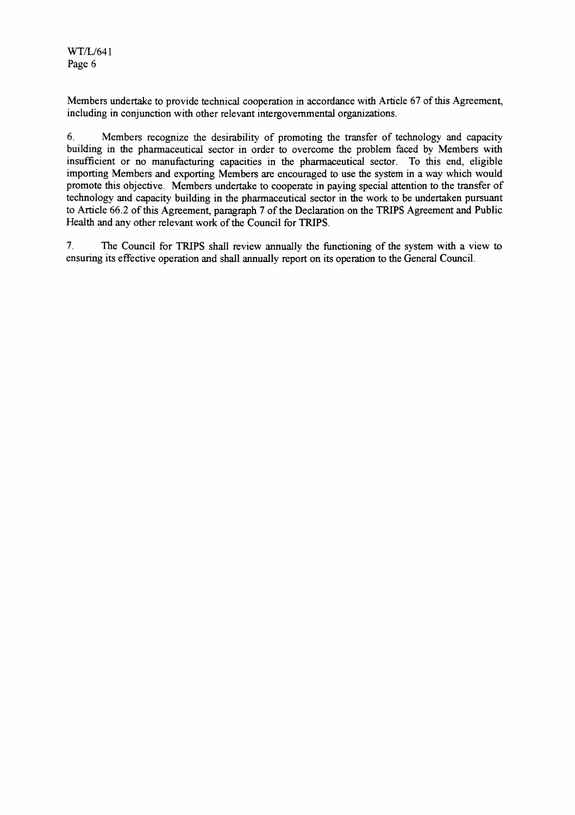Members undertake to provide technical cooperation in accordance with Article 67 of this Agreement, including in conjunction with other relevant intergovernmental organizations.

6. Members recognize the desirability of promoting the transfer of technology and capacity building in the pharmaceutical sector in order to overcome the problem faced by Members with insufficient or no manufacturing capacities in the pharmaceutical sector. To this end, eligible importing Members and exporting Members are encouraged to use the system in a way which would promote this objective. Members undertake to cooperate in paying special attention to the transfer of technology and capacity building in the pharmaceutical sector in the work to be undertaken pursuant to Article 66.2 of this Agreement, paragraph 7 of the Declaration on the TRIPS Agreement and Public Health and any other relevant work of the Council for TRIPS.

 $7<sub>1</sub>$ The Council for TRIPS shall review annually the functioning of the system with a view to ensuring its effective operation and shall annually report on its operation to the General Council.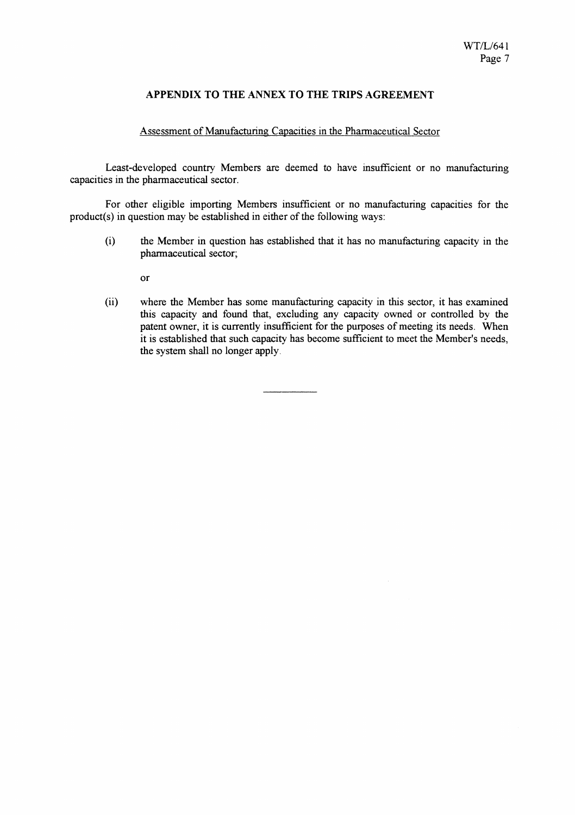### APPENDIX TO THE ANNEX TO THE TRIPS AGREEMENT

#### Assessment of Manufacturing Capacities in the Pharmaceutical Sector

Least-developed country Members are deemed to have insufficient or no manufacturing capacities in the pharmaceutical sector.

For other eligible importing Members insufficient or no manufacturing capacities for the product(s) in question may be established in either of the following ways:

 $(i)$ the Member in question has established that it has no manufacturing capacity in the pharmaceutical sector;

 $\alpha$ r

 $(ii)$ where the Member has some manufacturing capacity in this sector, it has examined this capacity and found that, excluding any capacity owned or controlled by the patent owner, it is currently insufficient for the purposes of meeting its needs. When it is established that such capacity has become sufficient to meet the Member's needs, the system shall no longer apply.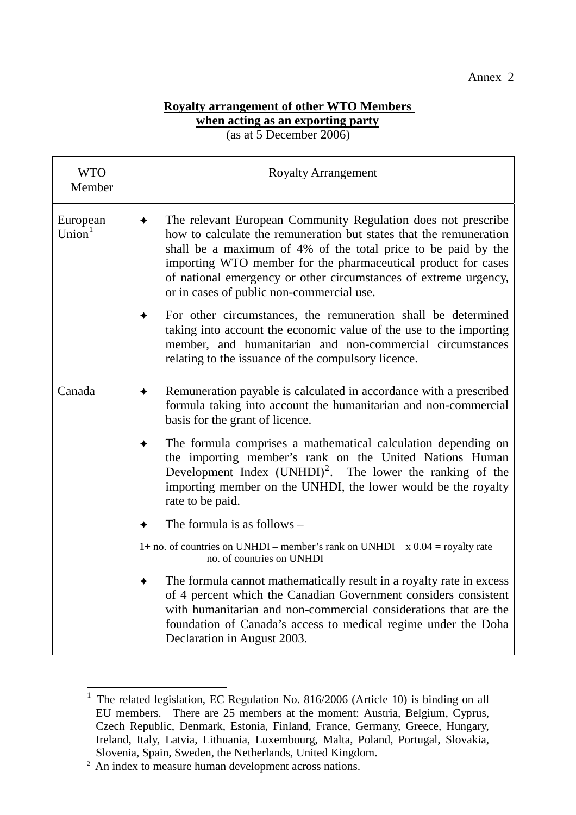## Annex 2

## **Royalty arrangement of other WTO Members when acting as an exporting party** (as at 5 December 2006)

WTO Member Royalty Arrangement European  $Union<sup>1</sup>$  $\rightarrow$  The relevant European Community Regulation does not prescribe how to calculate the remuneration but states that the remuneration shall be a maximum of 4% of the total price to be paid by the importing WTO member for the pharmaceutical product for cases of national emergency or other circumstances of extreme urgency, or in cases of public non-commercial use.  $\rightarrow$  For other circumstances, the remuneration shall be determined taking into account the economic value of the use to the importing member, and humanitarian and non-commercial circumstances relating to the issuance of the compulsory licence. Canada  $\rightarrow$  Remuneration payable is calculated in accordance with a prescribed formula taking into account the humanitarian and non-commercial basis for the grant of licence.  $\rightarrow$  The formula comprises a mathematical calculation depending on the importing member's rank on the United Nations Human Development Index  $(UNHDI)^2$ . The lower the ranking of the importing member on the UNHDI, the lower would be the royalty rate to be paid.  $\leftarrow$  The formula is as follows –  $1+$  no. of countries on UNHDI – member's rank on UNHDI  $\times$  0.04 = royalty rate no. of countries on UNHDI

 $\triangle$  The formula cannot mathematically result in a royalty rate in excess of 4 percent which the Canadian Government considers consistent with humanitarian and non-commercial considerations that are the foundation of Canada's access to medical regime under the Doha Declaration in August 2003.

 $\overline{a}$ 

<sup>&</sup>lt;sup>1</sup> The related legislation, EC Regulation No. 816/2006 (Article 10) is binding on all EU members. There are 25 members at the moment: Austria, Belgium, Cyprus, Czech Republic, Denmark, Estonia, Finland, France, Germany, Greece, Hungary, Ireland, Italy, Latvia, Lithuania, Luxembourg, Malta, Poland, Portugal, Slovakia, Slovenia, Spain, Sweden, the Netherlands, United Kingdom.<br><sup>2</sup> An index to measure human development across nations.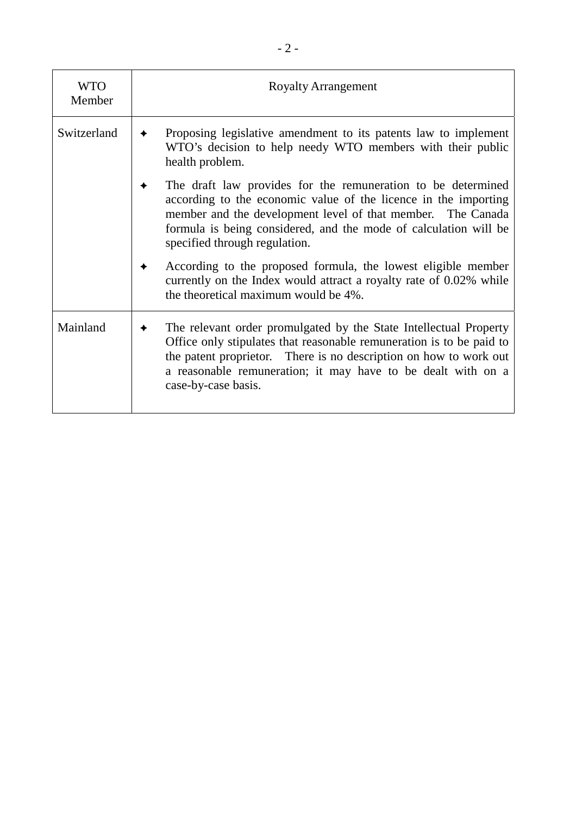| <b>WTO</b><br>Member | <b>Royalty Arrangement</b>                                                                                                                                                                                                                                                                            |  |
|----------------------|-------------------------------------------------------------------------------------------------------------------------------------------------------------------------------------------------------------------------------------------------------------------------------------------------------|--|
| Switzerland          | Proposing legislative amendment to its patents law to implement<br>WTO's decision to help needy WTO members with their public<br>health problem.                                                                                                                                                      |  |
|                      | The draft law provides for the remuneration to be determined<br>according to the economic value of the licence in the importing<br>member and the development level of that member. The Canada<br>formula is being considered, and the mode of calculation will be<br>specified through regulation.   |  |
|                      | According to the proposed formula, the lowest eligible member<br>currently on the Index would attract a royalty rate of 0.02% while<br>the theoretical maximum would be 4%.                                                                                                                           |  |
| Mainland             | The relevant order promulgated by the State Intellectual Property<br>Office only stipulates that reasonable remuneration is to be paid to<br>the patent proprietor. There is no description on how to work out<br>a reasonable remuneration; it may have to be dealt with on a<br>case-by-case basis. |  |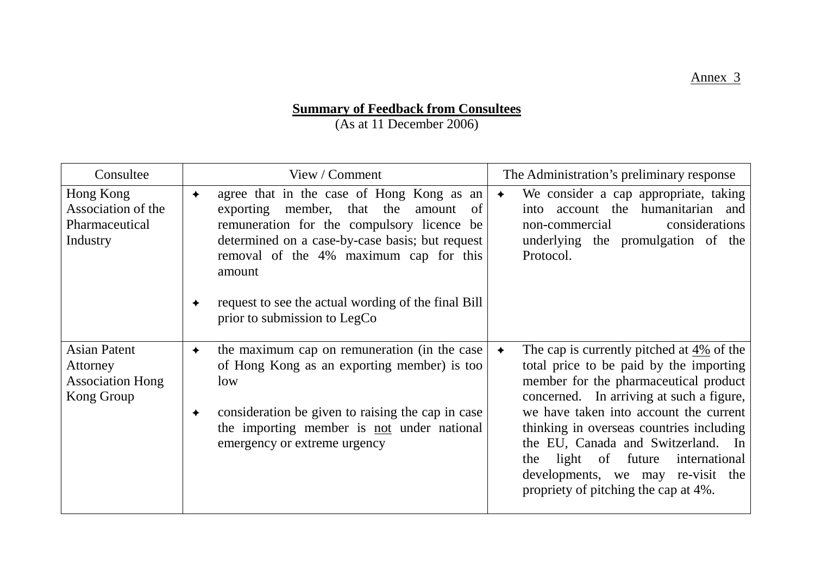# **Summary of Feedback from Consultees**

(As at 11 December 2006)

| Consultee                                                                | View / Comment                                                                                                                                                                                                                                                                                                                           | The Administration's preliminary response                                                                                                                                                                                                                                                                                                                                                                                                      |
|--------------------------------------------------------------------------|------------------------------------------------------------------------------------------------------------------------------------------------------------------------------------------------------------------------------------------------------------------------------------------------------------------------------------------|------------------------------------------------------------------------------------------------------------------------------------------------------------------------------------------------------------------------------------------------------------------------------------------------------------------------------------------------------------------------------------------------------------------------------------------------|
| Hong Kong<br>Association of the<br>Pharmaceutical<br>Industry            | agree that in the case of Hong Kong as an<br>✦<br>exporting member, that the<br>amount<br>of<br>remuneration for the compulsory licence be<br>determined on a case-by-case basis; but request<br>removal of the 4% maximum cap for this<br>amount<br>request to see the actual wording of the final Bill<br>prior to submission to LegCo | We consider a cap appropriate, taking<br>$\bigstar$<br>into account the humanitarian and<br>considerations<br>non-commercial<br>underlying the promulgation of the<br>Protocol.                                                                                                                                                                                                                                                                |
| <b>Asian Patent</b><br>Attorney<br><b>Association Hong</b><br>Kong Group | the maximum cap on remuneration (in the case<br>✦<br>of Hong Kong as an exporting member) is too<br>low<br>consideration be given to raising the cap in case<br>✦<br>the importing member is not under national<br>emergency or extreme urgency                                                                                          | The cap is currently pitched at 4% of the<br>$\bigstar$<br>total price to be paid by the importing<br>member for the pharmaceutical product<br>concerned. In arriving at such a figure,<br>we have taken into account the current<br>thinking in overseas countries including<br>the EU, Canada and Switzerland. In<br>light of<br>future<br>the<br>international<br>developments, we may re-visit the<br>propriety of pitching the cap at 4%. |

Annex 3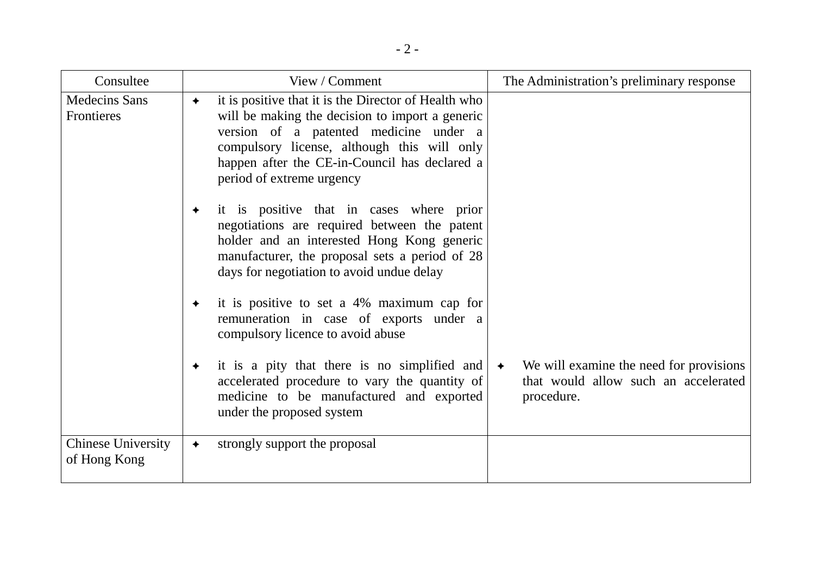| Consultee                                 | View / Comment                                                                                                                                                                                                                                                                               | The Administration's preliminary response                                                                      |
|-------------------------------------------|----------------------------------------------------------------------------------------------------------------------------------------------------------------------------------------------------------------------------------------------------------------------------------------------|----------------------------------------------------------------------------------------------------------------|
| <b>Medecins Sans</b><br>Frontieres        | it is positive that it is the Director of Health who<br>$\bigstar$<br>will be making the decision to import a generic<br>version of a patented medicine under a<br>compulsory license, although this will only<br>happen after the CE-in-Council has declared a<br>period of extreme urgency |                                                                                                                |
|                                           | it is positive that in cases where prior<br>✦<br>negotiations are required between the patent<br>holder and an interested Hong Kong generic<br>manufacturer, the proposal sets a period of 28<br>days for negotiation to avoid undue delay                                                   |                                                                                                                |
|                                           | it is positive to set a 4% maximum cap for<br>✦<br>remuneration in case of exports under a<br>compulsory licence to avoid abuse                                                                                                                                                              |                                                                                                                |
|                                           | it is a pity that there is no simplified and<br>$\bigstar$<br>accelerated procedure to vary the quantity of<br>medicine to be manufactured and exported<br>under the proposed system                                                                                                         | We will examine the need for provisions<br>$\rightarrow$<br>that would allow such an accelerated<br>procedure. |
| <b>Chinese University</b><br>of Hong Kong | strongly support the proposal<br>$\bigstar$                                                                                                                                                                                                                                                  |                                                                                                                |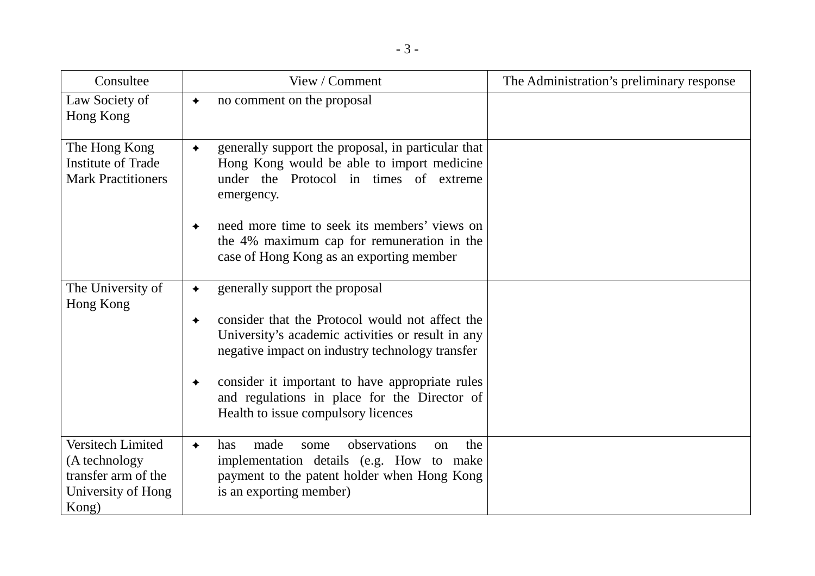| Consultee                                                                                | View / Comment                                                                                                                                                                       | The Administration's preliminary response |
|------------------------------------------------------------------------------------------|--------------------------------------------------------------------------------------------------------------------------------------------------------------------------------------|-------------------------------------------|
| Law Society of<br>Hong Kong                                                              | no comment on the proposal                                                                                                                                                           |                                           |
| The Hong Kong<br><b>Institute of Trade</b><br><b>Mark Practitioners</b>                  | generally support the proposal, in particular that<br>$\bigstar$<br>Hong Kong would be able to import medicine<br>under the Protocol in times of extreme<br>emergency.               |                                           |
|                                                                                          | need more time to seek its members' views on<br>the 4% maximum cap for remuneration in the<br>case of Hong Kong as an exporting member                                               |                                           |
| The University of<br>Hong Kong                                                           | generally support the proposal                                                                                                                                                       |                                           |
|                                                                                          | consider that the Protocol would not affect the<br>University's academic activities or result in any<br>negative impact on industry technology transfer                              |                                           |
|                                                                                          | consider it important to have appropriate rules<br>and regulations in place for the Director of<br>Health to issue compulsory licences                                               |                                           |
| Versitech Limited<br>(A technology<br>transfer arm of the<br>University of Hong<br>Kong) | observations<br>the<br>made<br>has<br>some<br>on<br>$\bigstar$<br>implementation details (e.g. How to make<br>payment to the patent holder when Hong Kong<br>is an exporting member) |                                           |